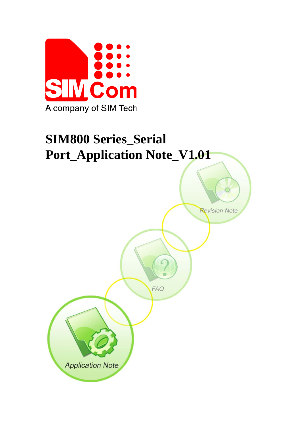

# **SIM800 Series\_Serial Port\_Application Note\_V1.01**

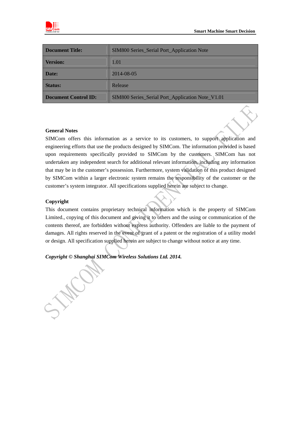

| <b>Document Title:</b>      | <b>SIM800 Series_Serial Port_Application Note</b> |  |  |  |
|-----------------------------|---------------------------------------------------|--|--|--|
| <b>Version:</b>             | 1.01                                              |  |  |  |
| Date:                       | 2014-08-05                                        |  |  |  |
| <b>Status:</b>              | Release                                           |  |  |  |
| <b>Document Control ID:</b> | SIM800 Series_Serial Port_Application Note_V1.01  |  |  |  |

#### **General Notes**

SIMCom offers this information as a service to its customers, to support application and engineering efforts that use the products designed by SIMCom. The information provided is based upon requirements specifically provided to SIMCom by the customers. SIMCom has not undertaken any independent search for additional relevant information, including any information that may be in the customer's possession. Furthermore, system validation of this product designed by SIMCom within a larger electronic system remains the responsibility of the customer or the customer's system integrator. All specifications supplied herein are subject to change.

#### **Copyright**

This document contains proprietary technical information which is the property of SIMCom Limited., copying of this document and giving it to others and the using or communication of the contents thereof, are forbidden without express authority. Offenders are liable to the payment of damages. All rights reserved in the event of grant of a patent or the registration of a utility model or design. All specification supplied herein are subject to change without notice at any time.

## *Copyright © Shanghai SIMCom Wireless Solutions Ltd. 2014.*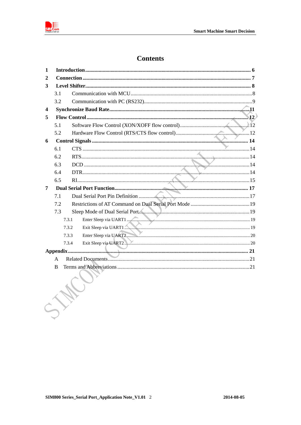

# **Contents**

| 1 |     |                                |
|---|-----|--------------------------------|
| 2 |     |                                |
| 3 |     |                                |
|   | 3.1 |                                |
|   | 3.2 |                                |
| 4 |     |                                |
| 5 |     |                                |
|   | 5.1 |                                |
|   | 5.2 |                                |
| 6 |     |                                |
|   | 6.1 |                                |
|   | 6.2 |                                |
|   | 6.3 |                                |
|   | 6.4 |                                |
|   | 6.5 |                                |
| 7 |     |                                |
|   | 7.1 |                                |
|   | 7.2 |                                |
|   | 7.3 | Sleep Mode of Dual Serial Port |
|   |     | 7.3.1                          |
|   |     | 7.3.2                          |
|   |     | 7.3.3                          |
|   |     | 7.3.4                          |
|   |     |                                |
|   | A   |                                |
|   | B   |                                |
|   |     |                                |
|   |     |                                |
|   |     |                                |
|   |     |                                |
|   |     |                                |
|   |     |                                |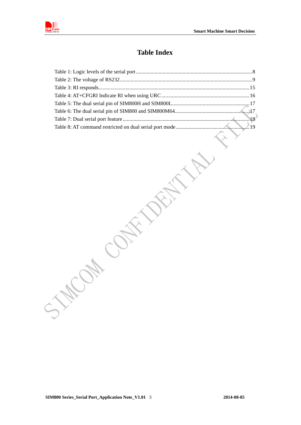

## **Table Index**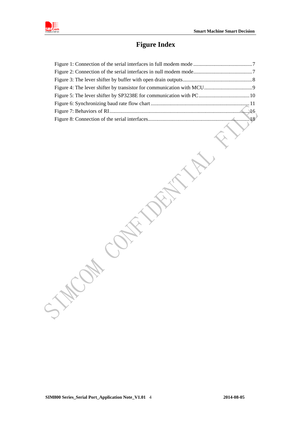

## **Figure Index**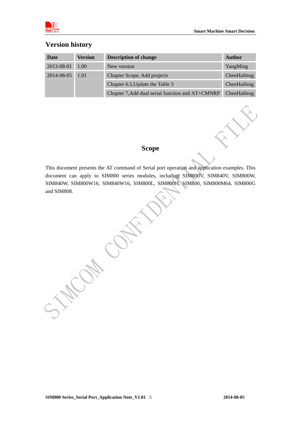

## **Version history**

| Date            | <b>Version</b> | <b>Description of change</b>                     | <b>Author</b>      |
|-----------------|----------------|--------------------------------------------------|--------------------|
| 2013-08-01      | 1.00           | New version                                      | YangMing           |
| 2014-08-05 1.01 |                | Chapter Scope, Add projects                      | ChenHaibing        |
|                 |                | Chapter 6.5, Update the Table 3                  | <b>ChenHaibing</b> |
|                 |                | Chapter 7, Add dual serial function and AT+CMNRP | <b>ChenHaibing</b> |

## **Scope**

This document presents the AT command of Serial port operation and application examples. This document can apply to SIM800 series modules, including SIM800V, SIM840V, SIM800W, SIM840W, SIM800W16, SIM840W16, SIM800L, SIM800H, SIM800, SIM800M64, SIM800G and SIM808.

**SIM800 Series\_Serial Port\_Application Note\_V1.01 2014-08-05** 5

Way Ch.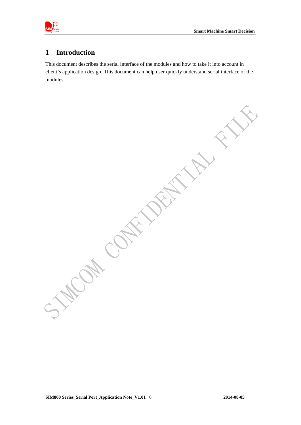<span id="page-6-0"></span>

## **1 Introduction**

This document describes the serial interface of the modules and how to take it into account in client's application design. This document can help user quickly understand serial interface of the modules.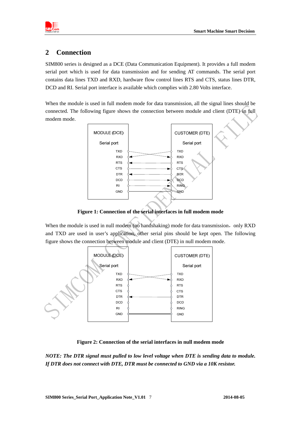<span id="page-7-0"></span>

## **2 Connection**

SIM800 series is designed as a DCE (Data Communication Equipment). It provides a full modem serial port which is used for data transmission and for sending AT commands. The serial port contains data lines TXD and RXD, hardware flow control lines RTS and CTS, status lines DTR, DCD and RI. Serial port interface is available which complies with 2.80 Volts interface.

When the module is used in full modem mode for data transmission, all the signal lines should be connected. The following figure shows the connection between module and client (DTE) in full modem mode.



**Figure 1: Connection of the serial interfaces in full modem mode** 

When the module is used in null modem (no handshaking) mode for data transmission, only RXD and TXD are used in user's application, other serial pins should be kept open. The following figure shows the connection between module and client (DTE) in null modem mode.



**Figure 2: Connection of the serial interfaces in null modem mode** 

*NOTE: The DTR signal must pulled to low level voltage when DTE is sending data to module. If DTR does not connect with DTE, DTR must be connected to GND via a 10K resistor.*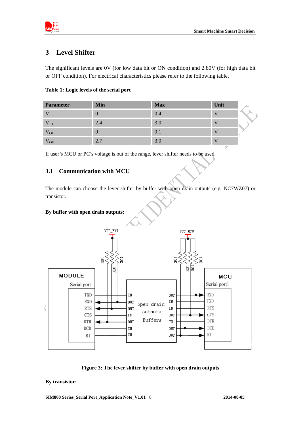<span id="page-8-0"></span>

# **3 Level Shifter**

The significant levels are 0V (for low data bit or ON condition) and 2.80V (for high data bit or OFF condition). For electrical characteristics please refer to the following table.

| <b>Parameter</b> | <b>Min</b>       | <b>Max</b> | Unit                     |  |
|------------------|------------------|------------|--------------------------|--|
| $V_{IL}$         | $\boldsymbol{0}$ | 0.4        |                          |  |
| $V_{IH}$         | 2.4              | 3.0        |                          |  |
| $V_{OL}$         | $\theta$         | 0.1        |                          |  |
| $V_{OH}$         | 2.7              | 3.0        | <b>STATE OF BUILDING</b> |  |

If user's MCU or PC's voltage is out of the range, lever shifter needs to be used.

#### **3.1 Communication with MCU**

The module can choose the lever shifter by buffer with open drain outputs (e.g. NC7WZ07) or transistor.

#### **By buffer with open drain outputs:**



**Figure 3: The lever shifter by buffer with open drain outputs** 

#### **By transistor:**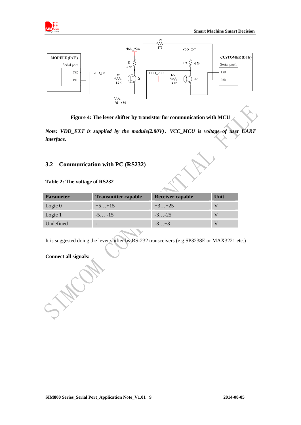<span id="page-9-0"></span>



**Figure 4: The lever shifter by transistor for communication with MCU** 

*Note: VDD\_EXT is supplied by the module(2.80V)*,*VCC\_MCU is voltage of user UART interface.* 

#### **3.2 Communication with PC (RS232)**

#### **Table 2: The voltage of RS232**

| <b>Parameter</b> | <b>Transmitter capable</b> | Receiver capable | Unit |
|------------------|----------------------------|------------------|------|
| Logic $0$        | $+5+15$                    | $+3+25$          |      |
| Logic 1          | $-5 -15$                   | $-3-25$          |      |
| Undefined        | $\overline{\phantom{0}}$   | $-3+3$           |      |
|                  |                            |                  |      |

It is suggested doing the lever shifter by RS-232 transceivers (e.g.SP3238E or MAX3221 etc.)

#### **Connect all signals:**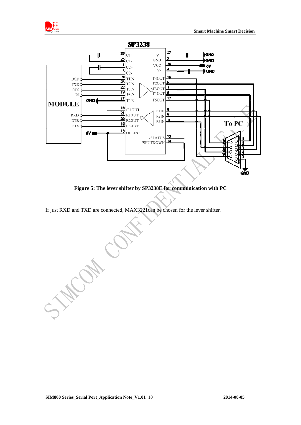<span id="page-10-0"></span>



**Figure 5: The lever shifter by SP3238E for communication with PC** 

If just RXD and TXD are connected, MAX3221can be chosen for the lever shifter.

SWA CA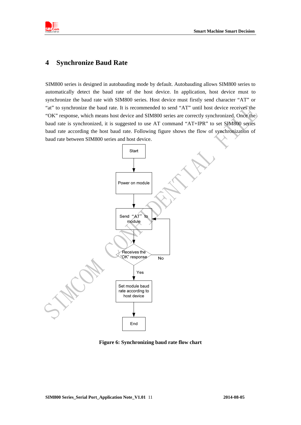<span id="page-11-0"></span>

## **4 Synchronize Baud Rate**

SIM800 series is designed in autobauding mode by default. Autobauding allows SIM800 series to automatically detect the baud rate of the host device. In application, host device must to synchronize the baud rate with SIM800 series. Host device must firstly send character "AT" or "at" to synchronize the baud rate. It is recommended to send "AT" until host device receives the "OK" response, which means host device and SIM800 series are correctly synchronized. Once the baud rate is synchronized, it is suggested to use AT command "AT+IPR" to set SIM800 series baud rate according the host baud rate. Following figure shows the flow of synchronization of baud rate between SIM800 series and host device.



**Figure 6: Synchronizing baud rate flow chart**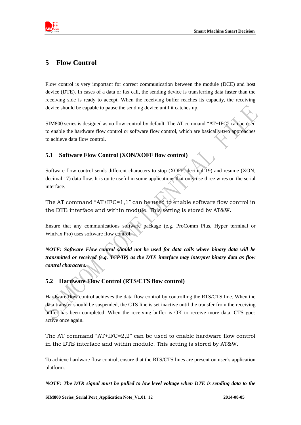<span id="page-12-0"></span>

## **5 Flow Control**

Flow control is very important for correct communication between the module (DCE) and host device (DTE). In cases of a data or fax call, the sending device is transferring data faster than the receiving side is ready to accept. When the receiving buffer reaches its capacity, the receiving device should be capable to pause the sending device until it catches up.

SIM800 series is designed as no flow control by default. The AT command "AT+IFC" can be used to enable the hardware flow control or software flow control, which are basically two approaches to achieve data flow control.

#### **5.1 Software Flow Control (XON/XOFF flow control)**

Software flow control sends different characters to stop (XOFF, decimal 19) and resume (XON, decimal 17) data flow. It is quite useful in some applications that only use three wires on the serial interface.

The AT command "AT+IFC=1,1" can be used to enable software flow control in the DTE interface and within module. This setting is stored by AT&W.

Ensure that any communications software package (e.g. ProComm Plus, Hyper terminal or WinFax Pro) uses software flow control.

*NOTE: Software Flow control should not be used for data calls where binary data will be transmitted or received (e.g. TCP/IP) as the DTE interface may interpret binary data as flow control characters.* 

## **5.2 Hardware Flow Control (RTS/CTS flow control)**

Hardware flow control achieves the data flow control by controlling the RTS/CTS line. When the data transfer should be suspended, the CTS line is set inactive until the transfer from the receiving buffer has been completed. When the receiving buffer is OK to receive more data, CTS goes active once again.

The AT command "AT+IFC=2,2" can be used to enable hardware flow control in the DTE interface and within module. This setting is stored by AT&W.

To achieve hardware flow control, ensure that the RTS/CTS lines are present on user's application platform.

*NOTE: The DTR signal must be pulled to low level voltage when DTE is sending data to the*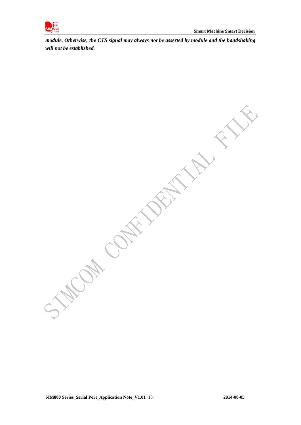

*module. Otherwise, the CTS signal may always not be asserted by module and the handshaking will not be established.* 

COM CONTACTORY FILL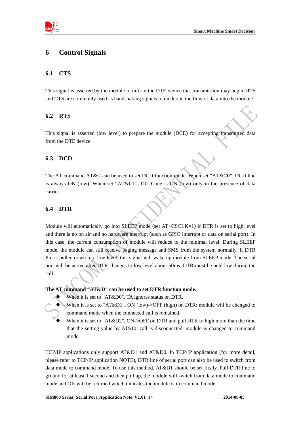<span id="page-14-0"></span>

## **6 Control Signals**

#### **6.1 CTS**

This signal is asserted by the module to inform the DTE device that transmission may begin. RTS and CTS are commonly used as handshaking signals to moderate the flow of data into the module.

#### **6.2 RTS**

This signal is asserted (low level) to prepare the module (DCE) for accepting transmitted data from the DTE device.

#### **6.3 DCD**

The AT command AT&C can be used to set DCD function mode. When set "AT&C0", DCD line is always ON (low). When set "AT&C1", DCD line is ON (low) only in the presence of data carrier.

#### **6.4 DTR**

Module will automatically go into SLEEP mode (set AT+CSCLK=1) if DTR is set to high level and there is no on air and no hardware interrupt (such as GPIO interrupt or data on serial port). In this case, the current consumption of module will reduce to the minimal level. During SLEEP mode, the module can still receive paging message and SMS from the system normally. If DTR Pin is pulled down to a low level, this signal will wake up module from SLEEP mode. The serial port will be active after DTR changes to low level about 50ms. DTR must be held low during the call.

#### **The AT command "AT&D" can be used to set DTR function mode.**



When it is set to "AT&D0", TA ignores status on DTR.

- When it is set to "AT&D1", ON (low)->OFF (high) on DTR: module will be changed to command mode when the connected call is remained.
- When it is set to "AT&D2", ON->OFF on DTR and pull DTR to high more than the time that the setting value by ATS10: call is disconnected, module is changed to command mode.

TCP/IP applications only support AT&D1 and AT&D0. In TCP/IP application (for more detail, please refer to TCP/IP application NOTE), DTR line of serial port can also be used to switch from data mode to command mode. To use this method, AT&D1 should be set firstly. Pull DTR line to ground for at least 1 second and then pull up, the module will switch from data mode to command mode and OK will be returned which indicates the module is in command mode.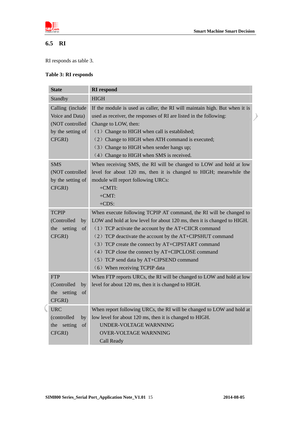<span id="page-15-0"></span>

# **6.5 RI**

RI responds as table 3.

#### **Table 3: RI responds**

| <b>State</b>                                                                          | <b>RI</b> respond                                                                                                                                                                                                                                                                                                                                                                                                                                      |  |  |
|---------------------------------------------------------------------------------------|--------------------------------------------------------------------------------------------------------------------------------------------------------------------------------------------------------------------------------------------------------------------------------------------------------------------------------------------------------------------------------------------------------------------------------------------------------|--|--|
| Standby                                                                               | <b>HIGH</b>                                                                                                                                                                                                                                                                                                                                                                                                                                            |  |  |
| Calling (include<br>Voice and Data)<br>(NOT controlled<br>by the setting of<br>CFGRI) | If the module is used as caller, the RI will maintain high. But when it is<br>used as receiver, the responses of RI are listed in the following:<br>Change to LOW, then:<br>(1) Change to HIGH when call is established;<br>(2) Change to HIGH when ATH command is executed;<br>(3) Change to HIGH when sender hangs up;<br>(4) Change to HIGH when SMS is received.                                                                                   |  |  |
| <b>SMS</b><br>(NOT controlled<br>by the setting of<br>CFGRI)                          | When receiving SMS, the RI will be changed to LOW and hold at low<br>level for about 120 ms, then it is changed to HIGH; meanwhile the<br>module will report following URCs:<br>$+CMTI$ :<br>$+CMT$ :<br>$+CDS:$                                                                                                                                                                                                                                       |  |  |
| <b>TCPIP</b><br>(Controlled<br>by<br>setting<br>the<br>of<br>CFGRI)                   | When execute following TCPIP AT command, the RI will be changed to<br>LOW and hold at low level for about 120 ms, then it is changed to HIGH.<br>(1) TCP activate the account by the AT+CIICR command<br>(2) TCP deactivate the account by the AT+CIPSHUT command<br>(3) TCP create the connect by AT+CIPSTART command<br>(4) TCP close the connect by AT+CIPCLOSE command<br>(5) TCP send data by AT+CIPSEND command<br>(6) When receiving TCPIP data |  |  |
| <b>FTP</b><br>(Controlled<br>by<br>the setting<br>of<br>CFGRI)                        | When FTP reports URCs, the RI will be changed to LOW and hold at low<br>level for about 120 ms, then it is changed to HIGH.                                                                                                                                                                                                                                                                                                                            |  |  |
| <b>URC</b><br>(controlled<br>by<br>setting<br>the<br>of<br>CFGRI)                     | When report following URCs, the RI will be changed to LOW and hold at<br>low level for about 120 ms, then it is changed to HIGH.<br>UNDER-VOLTAGE WARNNING<br><b>OVER-VOLTAGE WARNNING</b><br>Call Ready                                                                                                                                                                                                                                               |  |  |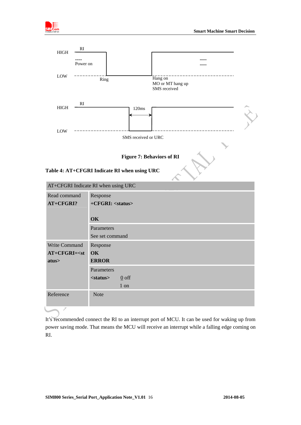<span id="page-16-0"></span>



It's recommended connect the RI to an interrupt port of MCU. It can be used for waking up from power saving mode. That means the MCU will receive an interrupt while a falling edge coming on RI.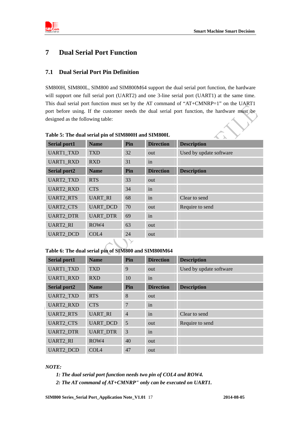<span id="page-17-0"></span>

## **7 Dual Serial Port Function**

#### **7.1 Dual Serial Port Pin Definition**

SM800H, SIM800L, SIM800 and SIM800M64 support the dual serial port function, the hardware will support one full serial port (UART2) and one 3-line serial port (UART1) at the same time. This dual serial port function must set by the AT command of "AT+CMNRP=1" on the UART1 port before using. If the customer needs the dual serial port function, the hardware must be designed as the following table:

| <b>Serial port1</b> | <b>Name</b>      | Pin | <b>Direction</b> | <b>Description</b>      |
|---------------------|------------------|-----|------------------|-------------------------|
| <b>UART1 TXD</b>    | <b>TXD</b>       | 32  | out              | Used by update software |
| <b>UART1 RXD</b>    | <b>RXD</b>       | 31  | in               |                         |
| <b>Serial port2</b> | <b>Name</b>      | Pin | <b>Direction</b> | <b>Description</b>      |
| <b>UART2 TXD</b>    | <b>RTS</b>       | 33  | out              |                         |
| <b>UART2 RXD</b>    | <b>CTS</b>       | 34  | in               |                         |
| <b>UART2 RTS</b>    | <b>UART_RI</b>   | 68  | in               | Clear to send           |
| <b>UART2_CTS</b>    | <b>UART DCD</b>  | 70  | out              | Require to send         |
| <b>UART2 DTR</b>    | <b>UART_DTR</b>  | 69  | in               |                         |
| <b>UART2 RI</b>     | ROW4             | 63  | out              |                         |
| <b>UART2 DCD</b>    | COL <sub>4</sub> | 24  | out              |                         |

**Table 5: The dual serial pin of SIM800H and SIM800L** 

**Table 6: The dual serial pin of SIM800 and SIM800M64** 

| <b>Serial port1</b> | <b>Name</b>      | Pin            | <b>Direction</b> | <b>Description</b>      |
|---------------------|------------------|----------------|------------------|-------------------------|
| <b>UART1_TXD</b>    | <b>TXD</b>       | 9              | out              | Used by update software |
| <b>UART1_RXD</b>    | <b>RXD</b>       | 10             | in               |                         |
| <b>Serial port2</b> | <b>Name</b>      | Pin            | <b>Direction</b> | <b>Description</b>      |
| <b>UART2 TXD</b>    | <b>RTS</b>       | 8              | out              |                         |
| <b>UART2 RXD</b>    | <b>CTS</b>       | 7              | in               |                         |
| <b>UART2_RTS</b>    | <b>UART RI</b>   | $\overline{4}$ | in               | Clear to send           |
| <b>UART2_CTS</b>    | <b>UART DCD</b>  | 5              | out              | Require to send         |
| <b>UART2 DTR</b>    | <b>UART DTR</b>  | 3              | in               |                         |
| <b>UART2 RI</b>     | ROW4             | 40             | out              |                         |
| <b>UART2 DCD</b>    | COL <sub>4</sub> | 47             | out              |                         |

#### *NOTE:*

- *1: The dual serial port function needs two pin of COL4 and ROW4.*
- *2: The AT command of AT+CMNRP" only can be executed on UART1.*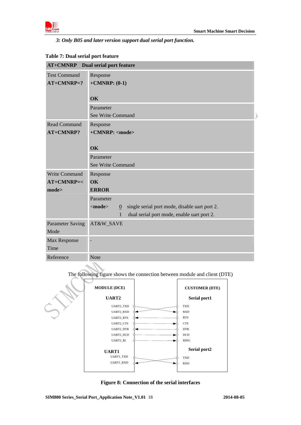<span id="page-18-0"></span>

*3: Only B05 and later version support dual serial port function.* 

| <b>AT+CMNRP</b> Dual serial port feature |                                                                               |  |  |  |
|------------------------------------------|-------------------------------------------------------------------------------|--|--|--|
| <b>Test Command</b><br>$AT+CMNRP=?$      | Response<br>$+CMNRP$ : (0-1)                                                  |  |  |  |
|                                          | <b>OK</b>                                                                     |  |  |  |
|                                          | Parameter<br>See Write Command                                                |  |  |  |
| <b>Read Command</b><br>AT+CMNRP?         | Response<br>+CMNRP: <mode><br/><b>OK</b></mode>                               |  |  |  |
|                                          | Parameter                                                                     |  |  |  |
|                                          | See Write Command                                                             |  |  |  |
| Write Command                            | Response                                                                      |  |  |  |
| $AT+CMNRP=<$                             | OK                                                                            |  |  |  |
| mode>                                    | <b>ERROR</b>                                                                  |  |  |  |
|                                          | Parameter                                                                     |  |  |  |
|                                          | single serial port mode, disable uart port 2.<br>$<$ mode $>$<br>$\mathbf{0}$ |  |  |  |
|                                          | $\mathbf{1}$<br>dual serial port mode, enable uart port 2.                    |  |  |  |
| <b>Parameter Saving</b><br>Mode          | AT&W_SAVE                                                                     |  |  |  |
| Max Response<br>Time                     |                                                                               |  |  |  |
|                                          |                                                                               |  |  |  |
| Reference                                | <b>Note</b>                                                                   |  |  |  |
|                                          | The following figure shows the connection between module and client (DTE)     |  |  |  |

The following figure shows the connection between module and client (DTE)

| <b>MODULE (DCE)</b><br><b>UART2</b> | <b>CUSTOMER (DTE)</b><br>Serial port1 |
|-------------------------------------|---------------------------------------|
| UART2_TXD                           | <b>TXD</b>                            |
| UART2_RXD                           | <b>RXD</b>                            |
| UART2_RTS                           | <b>RTS</b>                            |
| UART2_CTS                           | <b>CTS</b>                            |
| UART2_DTR                           | <b>DTR</b>                            |
| UART2_DCD                           | <b>DCD</b>                            |
| UART2_RI                            | <b>RING</b>                           |
| <b>UART1</b>                        | Serial port2                          |
| UART1_TXD                           | <b>TXD</b>                            |
| <b>UART1_RXD</b>                    | RXD                                   |
|                                     |                                       |

**Figure 8: Connection of the serial interfaces**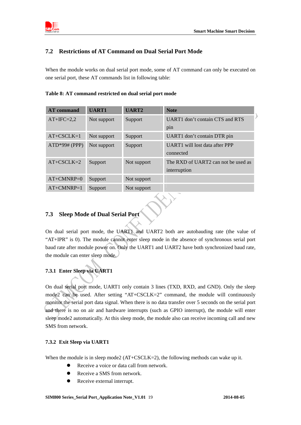<span id="page-19-0"></span>

### **7.2 Restrictions of AT Command on Dual Serial Port Mode**

When the module works on dual serial port mode, some of AT command can only be executed on one serial port, these AT commands list in following table:

| <b>AT</b> command | <b>UART1</b> | <b>UART2</b> | <b>Note</b>                         |
|-------------------|--------------|--------------|-------------------------------------|
| $AT+IFC=2,2$      | Not support  | Support      | UART1 don't contain CTS and RTS     |
|                   |              |              | pin                                 |
| $AT+CSCLK=1$      | Not support  | Support      | UART1 don't contain DTR pin         |
| $ATD*99# (PPP)$   | Not support  | Support      | UART1 will lost data after PPP      |
|                   |              |              | connected                           |
| $AT+CSCLK=2$      | Support      | Not support  | The RXD of UART2 can not be used as |
|                   |              |              | interruption                        |
| $AT+CMNRP=0$      | Support      | Not support  |                                     |
| $AT+CMNRP=1$      | Support      | Not support  |                                     |

## **7.3 Sleep Mode of Dual Serial Port**

On dual serial port mode, the UART1 and UART2 both are autobauding rate (the value of "AT+IPR" is 0). The module cannot enter sleep mode in the absence of synchronous serial port baud rate after module power on. Only the UART1 and UART2 have both synchronized baud rate, the module can enter sleep mode.

#### **7.3.1 Enter Sleep via UART1**

On dual serial port mode, UART1 only contain 3 lines (TXD, RXD, and GND). Only the sleep mode2 can be used. After setting "AT+CSCLK=2" command, the module will continuously monitor the serial port data signal. When there is no data transfer over 5 seconds on the serial port and there is no on air and hardware interrupts (such as GPIO interrupt), the module will enter sleep mode2 automatically. At this sleep mode, the module also can receive incoming call and new SMS from network.

#### **7.3.2 Exit Sleep via UART1**

When the module is in sleep mode2 (AT+CSCLK=2), the following methods can wake up it.

- Receive a voice or data call from network.
- Receive a SMS from network.
- Receive external interrupt.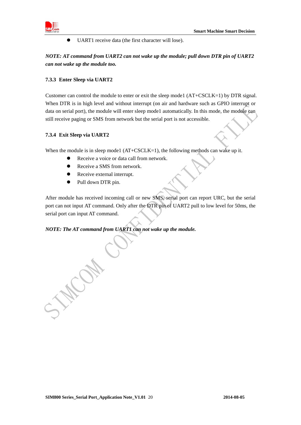

<span id="page-20-0"></span>

 $\bullet$  UART1 receive data (the first character will lose).

*NOTE: AT command from UART2 can not wake up the module; pull down DTR pin of UART2 can not wake up the module too.* 

#### **7.3.3 Enter Sleep via UART2**

Customer can control the module to enter or exit the sleep mode1 (AT+CSCLK=1) by DTR signal. When DTR is in high level and without interrupt (on air and hardware such as GPIO interrupt or data on serial port), the module will enter sleep mode1 automatically. In this mode, the module can still receive paging or SMS from network but the serial port is not accessible.

#### **7.3.4 Exit Sleep via UART2**

When the module is in sleep mode1 (AT+CSCLK=1), the following methods can wake up it.

- Receive a voice or data call from network.
- Receive a SMS from network.
- Receive external interrupt.
- Pull down DTR pin.

After module has received incoming call or new SMS, serial port can report URC, but the serial port can not input AT command. Only after the DTR pin of UART2 pull to low level for 50ms, the serial port can input AT command.

#### *NOTE: The AT command from UART1 can not wake up the module.*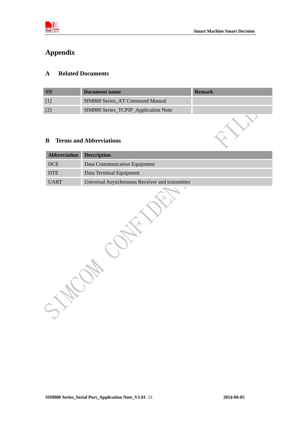<span id="page-21-0"></span>

# **Appendix**

#### **A Related Documents**

| Document name                        | <b>Remark</b> |
|--------------------------------------|---------------|
| SIM800 Series AT Command Manual      |               |
| SIM800 Series_TCPIP_Application Note |               |

#### **B Terms and Abbreviations**

| Abbreviation | <b>Description</b>                              |
|--------------|-------------------------------------------------|
| <b>DCE</b>   | Data Communication Equipment                    |
| <b>DTE</b>   | Data Terminal Equipment                         |
| <b>UART</b>  | Universal Asynchronous Receiver and transmitter |